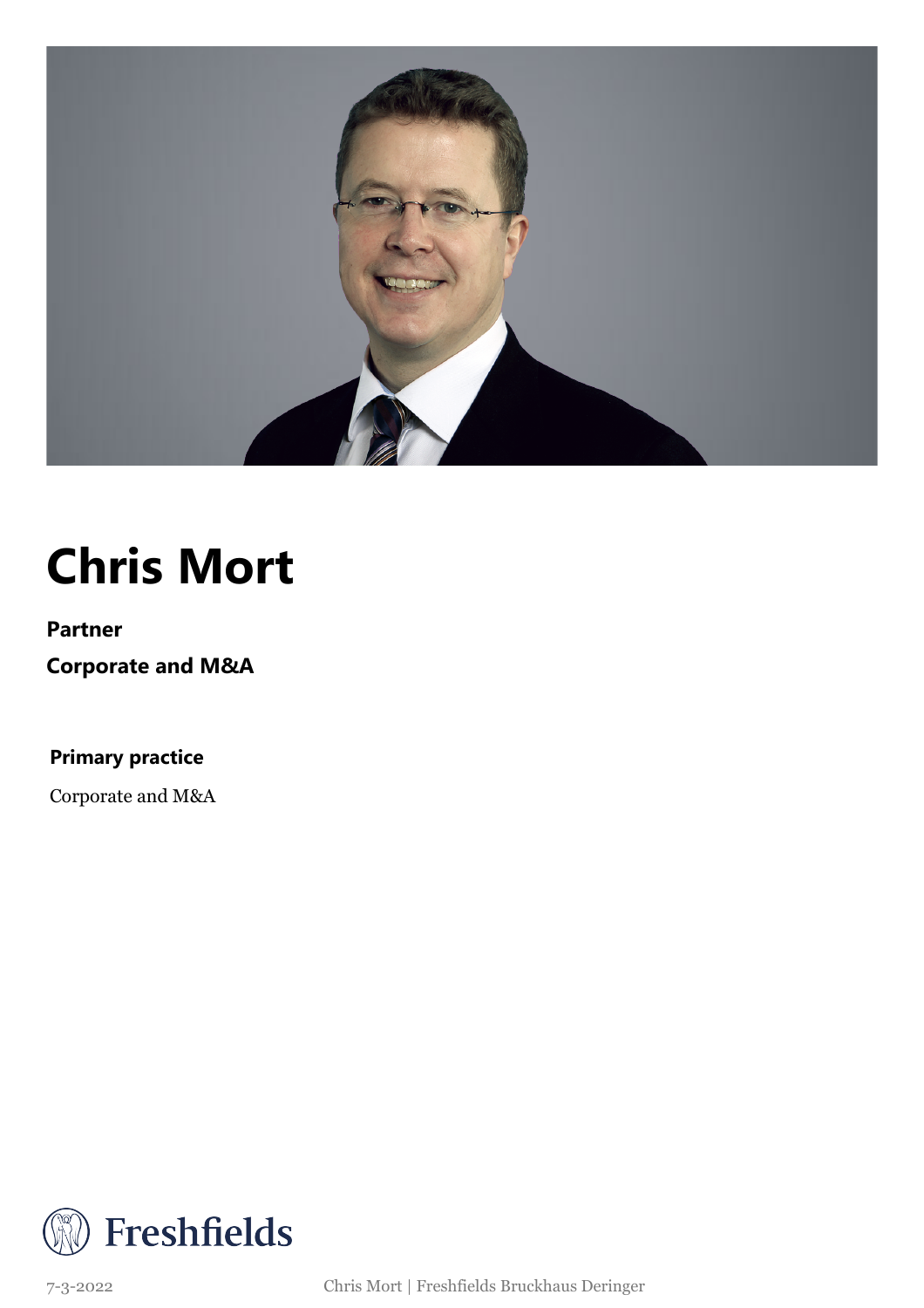

## **Chris Mort**

### **Partner Corporate and M&A**

**Primary practice**

Corporate and M&A



7-3-2022 Chris Mort | Freshfields Bruckhaus Deringer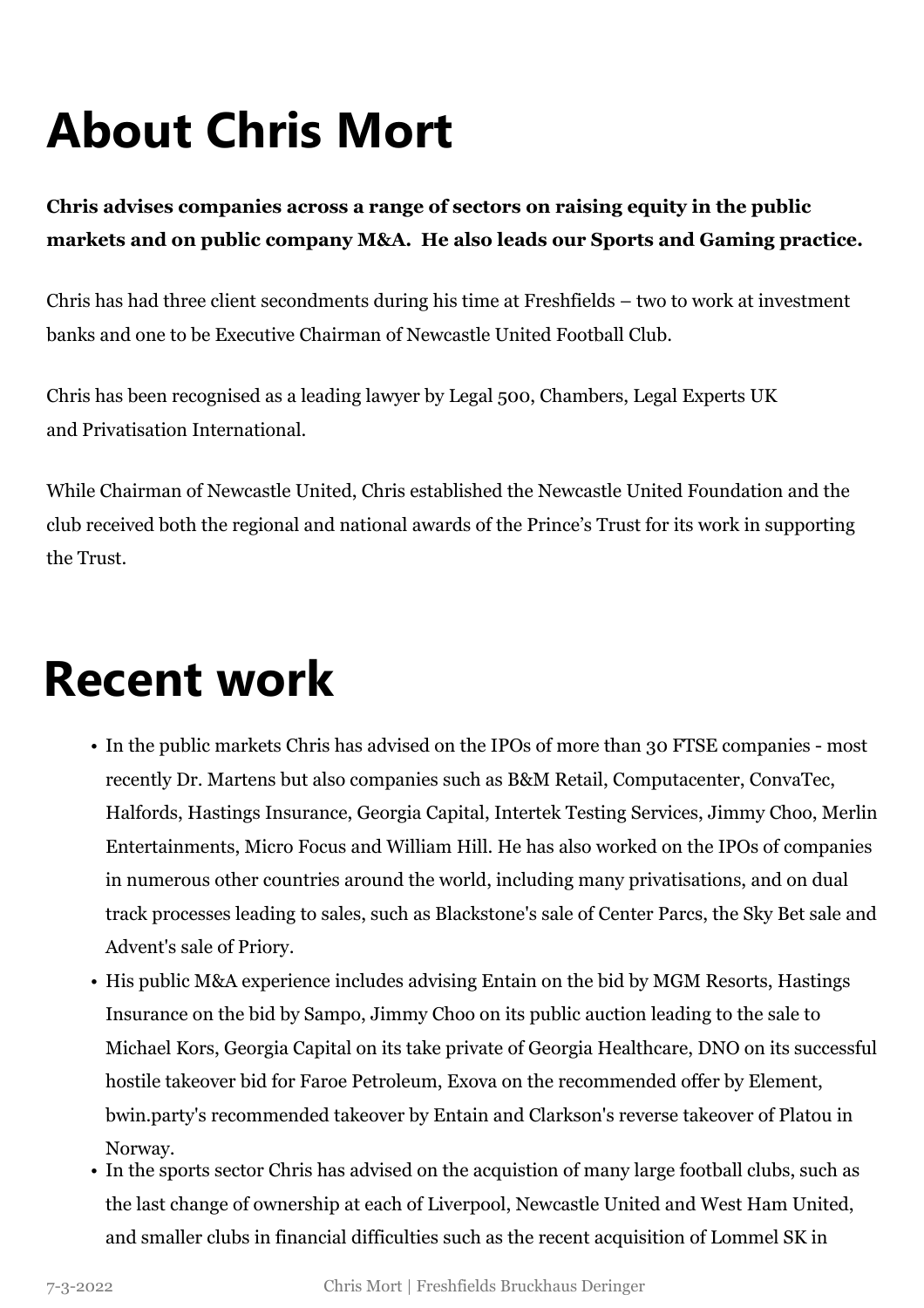# **About Chris Mort**

#### **Chris advises companies across a range of sectors on raising equity in the public markets and on public company M&A. He also leads our Sports and Gaming practice.**

Chris has had three client secondments during his time at Freshfields – two to work at investment banks and one to be Executive Chairman of Newcastle United Football Club.

Chris has been recognised as a leading lawyer by Legal 500, Chambers, Legal Experts UK and Privatisation International.

While Chairman of Newcastle United, Chris established the Newcastle United Foundation and the club received both the regional and national awards of the Prince's Trust for its work in supporting the Trust.

## **Recent work**

- In the public markets Chris has advised on the IPOs of more than 30 FTSE companies most recently Dr. Martens but also companies such as B&M Retail, Computacenter, ConvaTec, Halfords, Hastings Insurance, Georgia Capital, Intertek Testing Services, Jimmy Choo, Merlin Entertainments, Micro Focus and William Hill. He has also worked on the IPOs of companies in numerous other countries around the world, including many privatisations, and on dual track processes leading to sales, such as Blackstone's sale of Center Parcs, the Sky Bet sale and Advent's sale of Priory.
- His public M&A experience includes advising Entain on the bid by MGM Resorts, Hastings Insurance on the bid by Sampo, Jimmy Choo on its public auction leading to the sale to Michael Kors, Georgia Capital on its take private of Georgia Healthcare, DNO on its successful hostile takeover bid for Faroe Petroleum, Exova on the recommended offer by Element, bwin.party's recommended takeover by Entain and Clarkson's reverse takeover of Platou in Norway.
- In the sports sector Chris has advised on the acquistion of many large football clubs, such as the last change of ownership at each of Liverpool, Newcastle United and West Ham United, and smaller clubs in financial difficulties such as the recent acquisition of Lommel SK in